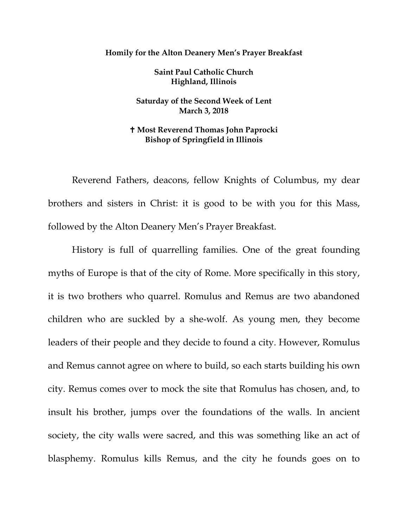## **Homily for the Alton Deanery Men's Prayer Breakfast**

**Saint Paul Catholic Church Highland, Illinois**

**Saturday of the Second Week of Lent March 3, 2018**

## **Most Reverend Thomas John Paprocki Bishop of Springfield in Illinois**

Reverend Fathers, deacons, fellow Knights of Columbus, my dear brothers and sisters in Christ: it is good to be with you for this Mass, followed by the Alton Deanery Men's Prayer Breakfast.

History is full of quarrelling families. One of the great founding myths of Europe is that of the city of Rome. More specifically in this story, it is two brothers who quarrel. Romulus and Remus are two abandoned children who are suckled by a she-wolf. As young men, they become leaders of their people and they decide to found a city. However, Romulus and Remus cannot agree on where to build, so each starts building his own city. Remus comes over to mock the site that Romulus has chosen, and, to insult his brother, jumps over the foundations of the walls. In ancient society, the city walls were sacred, and this was something like an act of blasphemy. Romulus kills Remus, and the city he founds goes on to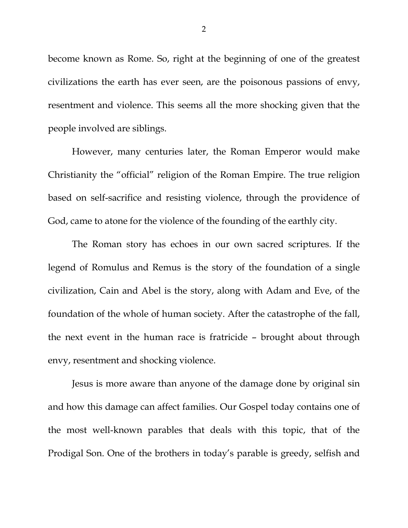become known as Rome. So, right at the beginning of one of the greatest civilizations the earth has ever seen, are the poisonous passions of envy, resentment and violence. This seems all the more shocking given that the people involved are siblings.

However, many centuries later, the Roman Emperor would make Christianity the "official" religion of the Roman Empire. The true religion based on self-sacrifice and resisting violence, through the providence of God, came to atone for the violence of the founding of the earthly city.

The Roman story has echoes in our own sacred scriptures. If the legend of Romulus and Remus is the story of the foundation of a single civilization, Cain and Abel is the story, along with Adam and Eve, of the foundation of the whole of human society. After the catastrophe of the fall, the next event in the human race is fratricide – brought about through envy, resentment and shocking violence.

Jesus is more aware than anyone of the damage done by original sin and how this damage can affect families. Our Gospel today contains one of the most well-known parables that deals with this topic, that of the Prodigal Son. One of the brothers in today's parable is greedy, selfish and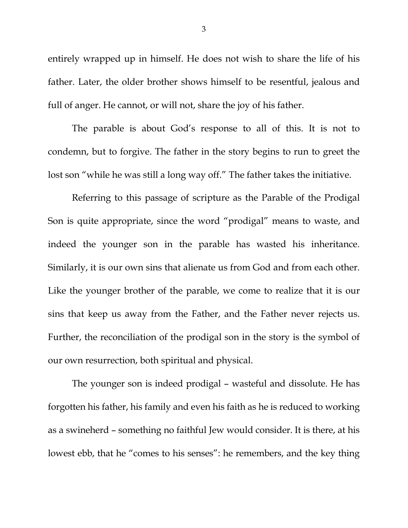entirely wrapped up in himself. He does not wish to share the life of his father. Later, the older brother shows himself to be resentful, jealous and full of anger. He cannot, or will not, share the joy of his father.

The parable is about God's response to all of this. It is not to condemn, but to forgive. The father in the story begins to run to greet the lost son "while he was still a long way off." The father takes the initiative.

Referring to this passage of scripture as the Parable of the Prodigal Son is quite appropriate, since the word "prodigal" means to waste, and indeed the younger son in the parable has wasted his inheritance. Similarly, it is our own sins that alienate us from God and from each other. Like the younger brother of the parable, we come to realize that it is our sins that keep us away from the Father, and the Father never rejects us. Further, the reconciliation of the prodigal son in the story is the symbol of our own resurrection, both spiritual and physical.

The younger son is indeed prodigal – wasteful and dissolute. He has forgotten his father, his family and even his faith as he is reduced to working as a swineherd – something no faithful Jew would consider. It is there, at his lowest ebb, that he "comes to his senses": he remembers, and the key thing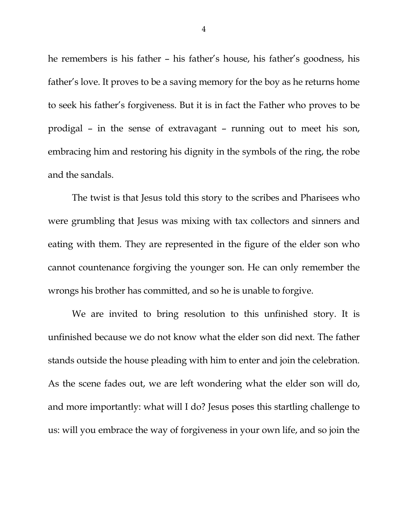he remembers is his father – his father's house, his father's goodness, his father's love. It proves to be a saving memory for the boy as he returns home to seek his father's forgiveness. But it is in fact the Father who proves to be prodigal – in the sense of extravagant – running out to meet his son, embracing him and restoring his dignity in the symbols of the ring, the robe and the sandals.

The twist is that Jesus told this story to the scribes and Pharisees who were grumbling that Jesus was mixing with tax collectors and sinners and eating with them. They are represented in the figure of the elder son who cannot countenance forgiving the younger son. He can only remember the wrongs his brother has committed, and so he is unable to forgive.

We are invited to bring resolution to this unfinished story. It is unfinished because we do not know what the elder son did next. The father stands outside the house pleading with him to enter and join the celebration. As the scene fades out, we are left wondering what the elder son will do, and more importantly: what will I do? Jesus poses this startling challenge to us: will you embrace the way of forgiveness in your own life, and so join the

4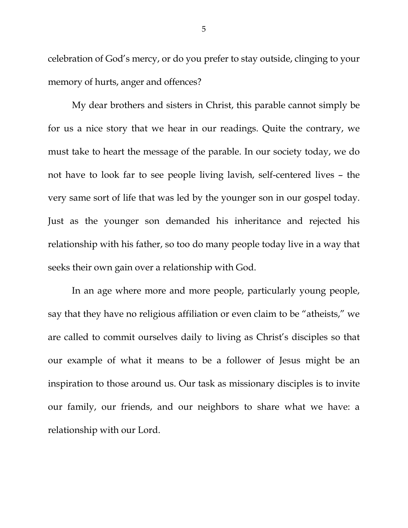celebration of God's mercy, or do you prefer to stay outside, clinging to your memory of hurts, anger and offences?

My dear brothers and sisters in Christ, this parable cannot simply be for us a nice story that we hear in our readings. Quite the contrary, we must take to heart the message of the parable. In our society today, we do not have to look far to see people living lavish, self-centered lives – the very same sort of life that was led by the younger son in our gospel today. Just as the younger son demanded his inheritance and rejected his relationship with his father, so too do many people today live in a way that seeks their own gain over a relationship with God.

In an age where more and more people, particularly young people, say that they have no religious affiliation or even claim to be "atheists," we are called to commit ourselves daily to living as Christ's disciples so that our example of what it means to be a follower of Jesus might be an inspiration to those around us. Our task as missionary disciples is to invite our family, our friends, and our neighbors to share what we have: a relationship with our Lord.